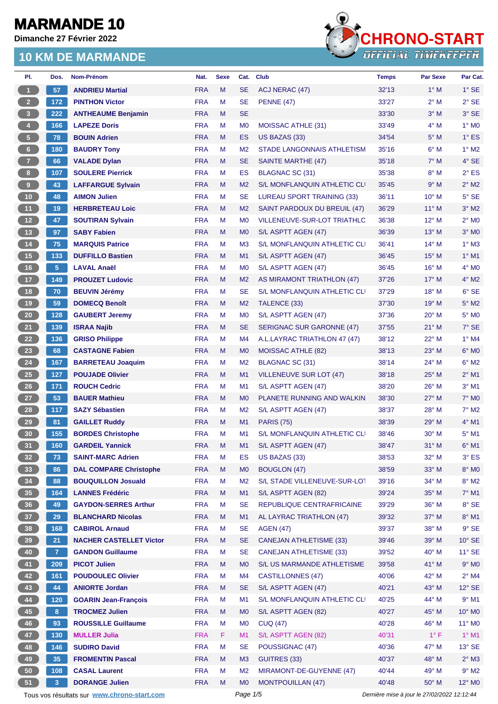**Dimanche 27 Février 2022**



| PI.                  | Dos.           | Nom-Prénom                                  | Nat.       | <b>Sexe</b> | Cat.           | <b>Club</b>                         | <b>Temps</b>                                | <b>Par Sexe</b> | Par Cat.        |
|----------------------|----------------|---------------------------------------------|------------|-------------|----------------|-------------------------------------|---------------------------------------------|-----------------|-----------------|
| $\blacktriangleleft$ | 57             | <b>ANDRIEU Martial</b>                      | <b>FRA</b> | M           | <b>SE</b>      | ACJ NERAC (47)                      | 32'13                                       | $1^\circ$ M     | $1^\circ$ SE    |
| 2 <sup>2</sup>       | 172            | <b>PINTHON Victor</b>                       | <b>FRA</b> | M           | <b>SE</b>      | <b>PENNE (47)</b>                   | 33'27                                       | $2^{\circ}$ M   | $2°$ SE         |
| 3                    | 222            | <b>ANTHEAUME Benjamin</b>                   | <b>FRA</b> | M           | <b>SE</b>      |                                     | 33'30                                       | $3^\circ$ M     | $3°$ SE         |
| $\overline{4}$       | 166            | <b>LAPEZE Doris</b>                         | <b>FRA</b> | M           | M <sub>0</sub> | <b>MOISSAC ATHLE (31)</b>           | 33'49                                       | $4^\circ$ M     | $1^\circ$ MO    |
| 5 <sub>1</sub>       | 78             | <b>BOUIN Adrien</b>                         | <b>FRA</b> | M           | <b>ES</b>      | US BAZAS (33)                       | 34'54                                       | $5^\circ$ M     | $1^\circ$ ES    |
| $6\phantom{.}6$      | 180            | <b>BAUDRY Tony</b>                          | <b>FRA</b> | M           | M <sub>2</sub> | STADE LANGONNAIS ATHLETISM          | 35'16                                       | $6^\circ$ M     | $1^\circ$ M2    |
| 7 <sup>2</sup>       | 66             | <b>VALADE Dylan</b>                         | <b>FRA</b> | M           | <b>SE</b>      | SAINTE MARTHE (47)                  | 35'18                                       | $7^\circ$ M     | $4^\circ$ SE    |
| 8 <sup>2</sup>       | 107            | <b>SOULERE Pierrick</b>                     | <b>FRA</b> | М           | ES             | BLAGNAC SC (31)                     | 35'38                                       | $8^\circ$ M     | $2^{\circ}$ ES  |
| 9 <sub>1</sub>       | 43             | <b>LAFFARGUE Sylvain</b>                    | <b>FRA</b> | M           | M <sub>2</sub> | S/L MONFLANQUIN ATHLETIC CLI        | 35'45                                       | 9° M            | $2^{\circ}$ M2  |
| 10 <sub>1</sub>      | 48             | <b>AIMON Julien</b>                         | <b>FRA</b> | м           | <b>SE</b>      | LUREAU SPORT TRAINING (33)          | 36'11                                       | $10^{\circ}$ M  | $5^\circ$ SE    |
| 11                   | 19             | <b>HERBRETEAU Loic</b>                      | <b>FRA</b> | M           | M <sub>2</sub> | SAINT PARDOUX DU BREUIL (47)        | 36'29                                       | $11^{\circ}$ M  | $3^\circ$ M2    |
| 12 <sup>°</sup>      | 47             | <b>SOUTIRAN Sylvain</b>                     | <b>FRA</b> | М           | M <sub>0</sub> | <b>VILLENEUVE-SUR-LOT TRIATHLO</b>  | 36'38                                       | $12^{\circ}$ M  | $2^{\circ}$ MO  |
| 13                   | 97             | <b>SABY Fabien</b>                          | <b>FRA</b> | M           | M <sub>0</sub> | S/L ASPTT AGEN (47)                 | 36'39                                       | $13^{\circ}$ M  | $3°$ MO         |
| $14$                 | 75             | <b>MARQUIS Patrice</b>                      | <b>FRA</b> | М           | M <sub>3</sub> | <b>S/L MONFLANQUIN ATHLETIC CLI</b> | 36'41                                       | $14^{\circ}$ M  | $1^\circ$ M3    |
| 15                   | 133            | <b>DUFFILLO Bastien</b>                     | <b>FRA</b> | M           | M1             | S/L ASPTT AGEN (47)                 | 36'45                                       | $15^{\circ}$ M  | $1^\circ$ M1    |
| 16                   | 5 <sup>1</sup> | <b>LAVAL Anaël</b>                          | <b>FRA</b> | М           | M <sub>0</sub> | S/L ASPTT AGEN (47)                 | 36'45                                       | $16^{\circ}$ M  | $4^\circ$ MO    |
| 17 <sup>2</sup>      | 149            | <b>PROUZET Ludovic</b>                      | <b>FRA</b> | M           | M <sub>2</sub> | AS MIRAMONT TRIATHLON (47)          | 37'26                                       | $17^\circ$ M    | $4^{\circ}$ M2  |
| 18                   | 70             | <b>BEUVIN Jérémy</b>                        | <b>FRA</b> | М           | <b>SE</b>      | S/L MONFLANQUIN ATHLETIC CLI        | 37'29                                       | $18^{\circ}$ M  | $6^{\circ}$ SE  |
| 19                   | 59             | <b>DOMECQ Benoît</b>                        | <b>FRA</b> | M           | M <sub>2</sub> | TALENCE (33)                        | 37'30                                       | $19^{\circ}$ M  | $5^\circ$ M2    |
| 20 <sub>2</sub>      | 128            | <b>GAUBERT Jeremy</b>                       | <b>FRA</b> | M           | M <sub>0</sub> | S/L ASPTT AGEN (47)                 | 37'36                                       | $20^{\circ}$ M  | 5° MO           |
| 21                   | 139            | <b>ISRAA Najib</b>                          | <b>FRA</b> | M           | <b>SE</b>      | SERIGNAC SUR GARONNE (47)           | 37'55                                       | $21^{\circ}$ M  | 7° SE           |
| 22                   | 136            | <b>GRISO Philippe</b>                       | <b>FRA</b> | М           | M4             | A.L.LAYRAC TRIATHLON 47 (47)        | 38'12                                       | 22° M           | $1^\circ$ M4    |
| 23                   | 68             | <b>CASTAGNE Fabien</b>                      | <b>FRA</b> | M           | M <sub>0</sub> | <b>MOISSAC ATHLE (82)</b>           | 38'13                                       | $23^\circ$ M    | $6^\circ$ MO    |
| 24                   | 167            | <b>BARRETEAU Joaquim</b>                    | <b>FRA</b> | M           | M <sub>2</sub> | BLAGNAC SC (31)                     | 38'14                                       | 24° M           | $6^\circ$ M2    |
| 25                   | 127            | <b>POUJADE Olivier</b>                      | <b>FRA</b> | M           | M1             | <b>VILLENEUVE SUR LOT (47)</b>      | 38'18                                       | $25^{\circ}$ M  | $2^{\circ}$ M1  |
| 26                   | 171            | <b>ROUCH Cedric</b>                         | <b>FRA</b> | М           | M1             | S/L ASPTT AGEN (47)                 | 38'20                                       | 26° M           | $3°$ M1         |
| 27                   | 53             | <b>BAUER Mathieu</b>                        | <b>FRA</b> | M           | M <sub>0</sub> | PLANETE RUNNING AND WALKIN          | 38'30                                       | $27^\circ$ M    | $7^\circ$ MO    |
| 28                   | 117            | <b>SAZY Sébastien</b>                       | <b>FRA</b> | М           | M <sub>2</sub> | S/L ASPTT AGEN (47)                 | 38'37                                       | 28° M           | $7^\circ$ M2    |
| 29                   | 81             | <b>GAILLET Ruddy</b>                        | <b>FRA</b> | M           | M1             | <b>PARIS (75)</b>                   | 38'39                                       | $29^\circ$ M    | $4^\circ$ M1    |
| 30 <sub>o</sub>      | 155            | <b>BORDES Christophe</b>                    | <b>FRA</b> | М           | M1             | S/L MONFLANQUIN ATHLETIC CLI        | 38'46                                       | 30° M           | $5^{\circ}$ M1  |
| 31                   | 160            | <b>GARDEIL Yannick</b>                      | <b>FRA</b> | M           | M1             | S/L ASPTT AGEN (47)                 | 38'47                                       | $31^\circ$ M    | $6^{\circ}$ M1  |
| 32 <sub>2</sub>      | 73             | <b>SAINT-MARC Adrien</b>                    | <b>FRA</b> | M           | ES             | US BAZAS (33)                       | 38'53                                       | $32^\circ$ M    | $3^\circ$ ES    |
| 33                   | 86             | <b>DAL COMPARE Christophe</b>               | <b>FRA</b> | ${\sf M}$   | M <sub>0</sub> | <b>BOUGLON (47)</b>                 | 38'59                                       | 33° M           | $8^\circ$ MO    |
| 34                   | 88             | <b>BOUQUILLON Josuald</b>                   | <b>FRA</b> | М           | M <sub>2</sub> | S/L STADE VILLENEUVE-SUR-LOT        | 39'16                                       | 34° M           | $8^\circ$ M2    |
| 35 <sub>1</sub>      | 164            | <b>LANNES Frédéric</b>                      | <b>FRA</b> | M           | M1             | S/L ASPTT AGEN (82)                 | 39'24                                       | 35° M           | $7^\circ$ M1    |
| 36                   | 49             | <b>GAYDON-SERRES Arthur</b>                 | <b>FRA</b> | М           | <b>SE</b>      | REPUBLIQUE CENTRAFRICAINE           | 39'29                                       | 36° M           | 8° SE           |
| 37 <sup>°</sup>      | 29             | <b>BLANCHARD Nicolas</b>                    | <b>FRA</b> | M           | M1             | AL LAYRAC TRIATHLON (47)            | 39'32                                       | 37° M           | $8^\circ$ M1    |
| 38                   | 168            | <b>CABIROL Arnaud</b>                       | <b>FRA</b> | M           | <b>SE</b>      | <b>AGEN (47)</b>                    | 39'37                                       | $38^\circ$ M    | $9°$ SE         |
| 39                   | 21             | <b>NACHER CASTELLET Victor</b>              | <b>FRA</b> | M           | <b>SE</b>      | <b>CANEJAN ATHLETISME (33)</b>      | 39'46                                       | 39° M           | $10^{\circ}$ SE |
| 40                   | 7 <sup>1</sup> | <b>GANDON Guillaume</b>                     | <b>FRA</b> | М           | <b>SE</b>      | <b>CANEJAN ATHLETISME (33)</b>      | 39'52                                       | $40^{\circ}$ M  | $11^\circ$ SE   |
| 41                   | 209            | <b>PICOT Julien</b>                         | <b>FRA</b> | M           | M <sub>0</sub> | S/L US MARMANDE ATHLETISME          | 39'58                                       | 41° M           | $9°$ MO         |
| 42                   | 161            | <b>POUDOULEC Olivier</b>                    | <b>FRA</b> | M           | M4             | CASTILLONNES (47)                   | 40'06                                       | $42^{\circ}$ M  | $2^{\circ}$ M4  |
| 43                   | 44             | <b>ANIORTE Jordan</b>                       | <b>FRA</b> | M           | <b>SE</b>      | S/L ASPTT AGEN (47)                 | 40'21                                       | 43° M           | $12^{\circ}$ SE |
| 44                   | 120            | <b>GOARIN Jean-François</b>                 | <b>FRA</b> | М           | M <sub>1</sub> | S/L MONFLANQUIN ATHLETIC CLI        | 40'25                                       | 44° M           | $9°$ M1         |
| 45                   | 8 <sub>1</sub> | <b>TROCMEZ Julien</b>                       | <b>FRA</b> | M           | M <sub>0</sub> | S/L ASPTT AGEN (82)                 | 40'27                                       | 45° M           | 10° MO          |
| 46                   | 93             | <b>ROUSSILLE Guillaume</b>                  | <b>FRA</b> | М           | M <sub>0</sub> | <b>CUQ (47)</b>                     | 40'28                                       | 46° M           | $11^{\circ}$ MO |
| 47                   | 130            | <b>MULLER Julia</b>                         | <b>FRA</b> | F.          | M1             | S/L ASPTT AGEN (82)                 | 40'31                                       | $1^{\circ}$ F   | $1^\circ$ M1    |
| 48                   | 146            | <b>SUDIRO David</b>                         | <b>FRA</b> | M           | <b>SE</b>      | POUSSIGNAC (47)                     | 40'36                                       | 47° M           | $13^\circ$ SE   |
| 49                   | 35             | <b>FROMENTIN Pascal</b>                     | <b>FRA</b> | M           | M3             | GUITRES (33)                        | 40'37                                       | 48° M           | $2^{\circ}$ M3  |
| $50\,$               | 108            | <b>CASAL Laurent</b>                        | <b>FRA</b> | М           | M <sub>2</sub> | MIRAMONT-DE-GUYENNE (47)            | 40'44                                       | 49° M           | $9^\circ$ M2    |
| 51                   | 3 <sup>2</sup> | <b>DORANGE Julien</b>                       | <b>FRA</b> | M           | M <sub>0</sub> | <b>MONTPOUILLAN (47)</b>            | 40'48                                       | 50° M           | 12° MO          |
|                      |                | Tous vos résultats sur www.chrono-start.com |            |             | Page 1/5       |                                     | Dernière mise à jour le 27/02/2022 12:12:44 |                 |                 |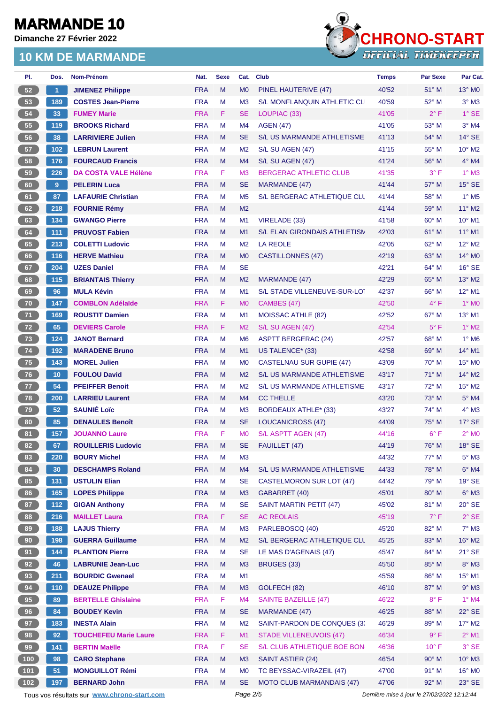**Dimanche 27 Février 2022**



| PI.             | Dos.                 | Nom-Prénom                                  | Nat.       | <b>Sexe</b> | Cat.           | <b>Club</b>                         | <b>Temps</b>                                | <b>Par Sexe</b> | Par Cat.                 |
|-----------------|----------------------|---------------------------------------------|------------|-------------|----------------|-------------------------------------|---------------------------------------------|-----------------|--------------------------|
| 52              | $\blacktriangleleft$ | <b>JIMENEZ Philippe</b>                     | <b>FRA</b> | M           | M <sub>0</sub> | PINEL HAUTERIVE (47)                | 40'52                                       | 51° M           | $13^\circ$ MO            |
| 53              | 189                  | <b>COSTES Jean-Pierre</b>                   | <b>FRA</b> | м           | M <sub>3</sub> | S/L MONFLANQUIN ATHLETIC CLI        | 40'59                                       | $52^{\circ}$ M  | $3^\circ$ M3             |
| 54              | 33                   | <b>FUMEY Marie</b>                          | <b>FRA</b> | F.          | <b>SE</b>      | LOUPIAC (33)                        | 41'05                                       | $2^{\circ}$ F   | $1^\circ$ SE             |
| 55              | 119                  | <b>BROOKS Richard</b>                       | <b>FRA</b> | M           | M4             | <b>AGEN (47)</b>                    | 41'05                                       | 53° M           | $3°$ M4                  |
| 56              | 38                   | <b>LARRIVIERE Julien</b>                    | <b>FRA</b> | M           | <b>SE</b>      | <b>S/L US MARMANDE ATHLETISME</b>   | 41'13                                       | 54° M           | $14^{\circ}$ SE          |
| 57              | 102                  | <b>LEBRUN Laurent</b>                       | <b>FRA</b> | M           | M <sub>2</sub> | S/L SU AGEN (47)                    | 41'15                                       | 55° M           | $10^{\circ}$ M2          |
| 58              | 176                  | <b>FOURCAUD Francis</b>                     | <b>FRA</b> | M           | M4             | S/L SU AGEN (47)                    | 41'24                                       | $56^{\circ}$ M  | $4^\circ$ M4             |
| 59              | 226                  | <b>DA COSTA VALE Hélène</b>                 | <b>FRA</b> | F.          | M <sub>3</sub> | <b>BERGERAC ATHLETIC CLUB</b>       | 41'35                                       | 3° F            | $1^\circ$ M3             |
| 60              | 9 <sup>°</sup>       | <b>PELERIN Luca</b>                         | <b>FRA</b> | M           | <b>SE</b>      | MARMANDE (47)                       | 41'44                                       | $57^\circ$ M    | $15^\circ$ SE            |
| 61              | 87                   | <b>LAFAURIE Christian</b>                   | <b>FRA</b> | M           | M <sub>5</sub> | S/L BERGERAC ATHLETIQUE CLL         | 41'44                                       | 58° M           | $1^\circ$ M <sub>5</sub> |
| 62              | 218                  | <b>FOURNIE Rémy</b>                         | <b>FRA</b> | M           | M <sub>2</sub> |                                     | 41'44                                       | 59° M           | 11° M2                   |
| 63              | 134                  | <b>GWANGO Pierre</b>                        | <b>FRA</b> | M           | M1             | VIRELADE (33)                       | 41'58                                       | $60^{\circ}$ M  | $10^{\circ}$ M1          |
| 64              | 111                  | <b>PRUVOST Fabien</b>                       | <b>FRA</b> | M           | M1             | <b>S/L ELAN GIRONDAIS ATHLETISM</b> | 42'03                                       | $61^\circ$ M    | $11^{\circ}$ M1          |
| 65              | 213                  | <b>COLETTI Ludovic</b>                      | <b>FRA</b> | М           | M <sub>2</sub> | LA REOLE                            | 42'05                                       | $62^{\circ}$ M  | 12° M2                   |
| 66              | 116                  | <b>HERVE Mathieu</b>                        | <b>FRA</b> | M           | M <sub>0</sub> | <b>CASTILLONNES (47)</b>            | 42'19                                       | $63^\circ$ M    | 14° M0                   |
| 67              | 204                  | <b>UZES Daniel</b>                          | <b>FRA</b> | м           | <b>SE</b>      |                                     | 42'21                                       | 64° M           | $16°$ SE                 |
| 68              | 115                  | <b>BRIANTAIS Thierry</b>                    | <b>FRA</b> | M           | M <sub>2</sub> | MARMANDE (47)                       | 42'29                                       | 65° M           | 13° M2                   |
| 69              | 96                   | <b>MULA Kévin</b>                           | <b>FRA</b> | М           | M1             | S/L STADE VILLENEUVE-SUR-LOT        | 42'37                                       | $66^{\circ}$ M  | $12^{\circ}$ M1          |
| 70              | 147                  | <b>COMBLON Adélaïde</b>                     | <b>FRA</b> | F.          | M <sub>0</sub> | CAMBES (47)                         | 42'50                                       | $4^{\circ}$ F   | 1° MO                    |
| 71              | 169                  | <b>ROUSTIT Damien</b>                       | <b>FRA</b> | M           | M <sub>1</sub> | <b>MOISSAC ATHLE (82)</b>           | 42'52                                       | $67^\circ$ M    | $13^{\circ}$ M1          |
| 72              | 65                   | <b>DEVIERS Carole</b>                       | <b>FRA</b> | F.          | M <sub>2</sub> | S/L SU AGEN (47)                    | 42'54                                       | $5^{\circ}$ F   | $1^\circ$ M2             |
| 73              | 124                  | <b>JANOT Bernard</b>                        | <b>FRA</b> | М           | M <sub>6</sub> | <b>ASPTT BERGERAC (24)</b>          | 42'57                                       | 68° M           | $1^\circ$ M6             |
| 74              | 192                  | <b>MARADENE Bruno</b>                       | <b>FRA</b> | M           | M1             | US TALENCE* (33)                    | 42'58                                       | $69^\circ$ M    | $14^{\circ}$ M1          |
| $75\,$          | 143                  | <b>MOREL Julien</b>                         | <b>FRA</b> | м           | M <sub>0</sub> | <b>CASTELNAU SUR GUPIE (47)</b>     | 43'09                                       | $70^{\circ}$ M  | $15^{\circ}$ MO          |
| 76              | 10 <sub>1</sub>      | <b>FOULOU David</b>                         | <b>FRA</b> | M           | M <sub>2</sub> | S/L US MARMANDE ATHLETISME          | 43'17                                       | $71^\circ$ M    | 14° M2                   |
| 77              | 54                   | <b>PFEIFFER Benoit</b>                      | <b>FRA</b> | M           | M <sub>2</sub> | S/L US MARMANDE ATHLETISME          | 43'17                                       | 72° M           | $15^{\circ}$ M2          |
| 78              | 200                  | <b>LARRIEU Laurent</b>                      | <b>FRA</b> | M           | M <sub>4</sub> | <b>CC THELLE</b>                    | 43'20                                       | $73^\circ$ M    | 5° M4                    |
| 79              | 52                   | <b>SAUNIÉ Loïc</b>                          | <b>FRA</b> | М           | M <sub>3</sub> | <b>BORDEAUX ATHLE* (33)</b>         | 43'27                                       | 74° M           | 4° M3                    |
| 80              | 85                   | <b>DENAULES Benoît</b>                      | <b>FRA</b> | M           | <b>SE</b>      | <b>LOUCANICROSS (47)</b>            | 44'09                                       | $75^\circ$ M    | $17^\circ$ SE            |
| 81              | 157                  | <b>JOUANNO Laure</b>                        | <b>FRA</b> | F           | M <sub>0</sub> | S/L ASPTT AGEN (47)                 | 44'16                                       | $6^{\circ}$ F   | $2^{\circ}$ MO           |
| 82)             | 67                   | <b>ROUILLERIS Ludovic</b>                   | <b>FRA</b> | M           | <b>SE</b>      | FAUILLET (47)                       | 44'19                                       | 76° M           | 18° SE                   |
| 83              | 220                  | <b>BOURY Michel</b>                         | <b>FRA</b> | M           | M3             |                                     | 44'32                                       | 77° M           | $5^\circ$ M3             |
| 84              | 30                   | <b>DESCHAMPS Roland</b>                     | <b>FRA</b> | M           | M4             | S/L US MARMANDE ATHLETISME          | 44'33                                       | 78° M           | $6^\circ$ M4             |
| 85              | $131$                | <b>USTULIN Elian</b>                        | <b>FRA</b> | М           | <b>SE</b>      | <b>CASTELMORON SUR LOT (47)</b>     | 44'42                                       | 79° M           | 19° SE                   |
| 86              | 165                  | <b>LOPES Philippe</b>                       | <b>FRA</b> | M           | M <sub>3</sub> | GABARRET (40)                       | 45'01                                       | 80° M           | $6^\circ$ M3             |
| 87              | $112$                | <b>GIGAN Anthony</b>                        | <b>FRA</b> | M           | <b>SE</b>      | <b>SAINT MARTIN PETIT (47)</b>      | 45'02                                       | 81° M           | $20^\circ$ SE            |
| 88              | 216                  | <b>MAILLET Laura</b>                        | <b>FRA</b> | F.          | <b>SE</b>      | <b>AC REOLAIS</b>                   | 45'19                                       | $7^\circ$ F     | $2^{\circ}$ SE           |
| 89              | 188                  | <b>LAJUS Thierry</b>                        | <b>FRA</b> | М           | M <sub>3</sub> | PARLEBOSCQ (40)                     | 45'20                                       | 82° M           | $7^\circ$ M3             |
| 90 <sub>o</sub> | 198                  | <b>GUERRA Guillaume</b>                     | <b>FRA</b> | M           | M <sub>2</sub> | S/L BERGERAC ATHLETIQUE CLL         | 45'25                                       | 83° M           | 16° M2                   |
| 91              | $144$                | <b>PLANTION Pierre</b>                      | <b>FRA</b> | М           | <b>SE</b>      | LE MAS D'AGENAIS (47)               | 45'47                                       | 84° M           | $21^\circ$ SE            |
| 92              | 46                   | <b>LABRUNIE Jean-Luc</b>                    | <b>FRA</b> | M           | M <sub>3</sub> | BRUGES (33)                         | 45'50                                       | 85° M           | $8^\circ$ M3             |
| 93              | 211                  | <b>BOURDIC Gwenael</b>                      | <b>FRA</b> | M           | M <sub>1</sub> |                                     | 45'59                                       | 86° M           | $15^{\circ}$ M1          |
| 94              | 110                  | <b>DEAUZE Philippe</b>                      | <b>FRA</b> | M           | M <sub>3</sub> | GOLFECH (82)                        | 46'10                                       | 87° M           | $9^\circ$ M3             |
| 95              | 89                   | <b>BERTELLE Ghislaine</b>                   | <b>FRA</b> | F.          | M4             | <b>SAINTE BAZEILLE (47)</b>         | 46'22                                       | $8^{\circ}$ F   | $1^\circ$ M4             |
| 96              | 84                   | <b>BOUDEY Kevin</b>                         | <b>FRA</b> | M           | <b>SE</b>      | MARMANDE (47)                       | 46'25                                       | 88° M           | 22° SE                   |
| 97              | 183                  | <b>INESTA Alain</b>                         | <b>FRA</b> | М           | M <sub>2</sub> | SAINT-PARDON DE CONQUES (3)         | 46'29                                       | 89° M           | $17^\circ$ M2            |
| 98              | 92                   | <b>TOUCHEFEU Marie Laure</b>                | <b>FRA</b> | F.          | M1             | <b>STADE VILLENEUVOIS (47)</b>      | 46'34                                       | $9^{\circ}$ F   | $2^{\circ}$ M1           |
| 99              | 141                  | <b>BERTIN Maëlle</b>                        | <b>FRA</b> | F           | <b>SE</b>      | S/L CLUB ATHLETIQUE BOE BON-        | 46'36                                       | $10^{\circ}$ F  | $3°$ SE                  |
| $100$           | 98                   | <b>CARO Stephane</b>                        | <b>FRA</b> | M           | M <sub>3</sub> | <b>SAINT ASTIER (24)</b>            | 46'54                                       | $90^\circ$ M    | $10^{\circ}$ M3          |
| $101$           | 51                   | <b>MONGUILLOT Rémi</b>                      | <b>FRA</b> | М           | M <sub>0</sub> | TC BEYSSAC-VIRAZEIL (47)            | 47'00                                       | $91^\circ$ M    | 16° M0                   |
| $102$           | 197                  | <b>BERNARD John</b>                         | <b>FRA</b> | M           | <b>SE</b>      | <b>MOTO CLUB MARMANDAIS (47)</b>    | 47'06                                       | $92^\circ$ M    | 23° SE                   |
|                 |                      | Tous vos résultats sur www.chrono-start.com |            |             | Page 2/5       |                                     | Dernière mise à jour le 27/02/2022 12:12:44 |                 |                          |
|                 |                      |                                             |            |             |                |                                     |                                             |                 |                          |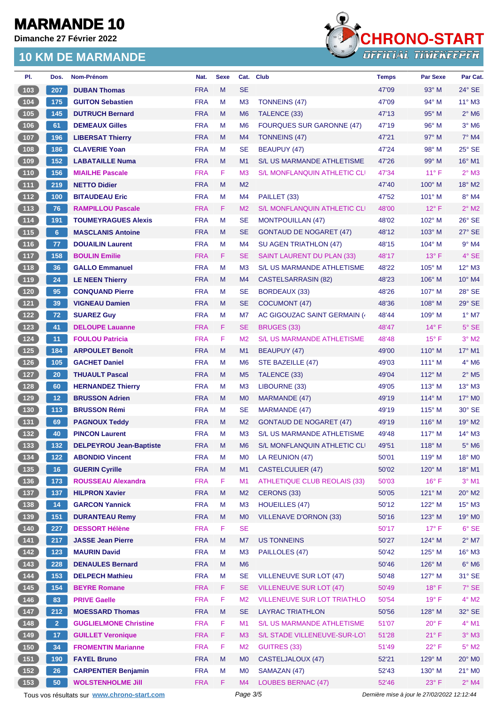**Dimanche 27 Février 2022**



| PI.                                           | Dos.           | Nom-Prénom                                  | Nat.       | <b>Sexe</b> |                | Cat. Club                                       | <b>Temps</b>                                | <b>Par Sexe</b> | Par Cat.                   |
|-----------------------------------------------|----------------|---------------------------------------------|------------|-------------|----------------|-------------------------------------------------|---------------------------------------------|-----------------|----------------------------|
| 103                                           | 207            | <b>DUBAN Thomas</b>                         | <b>FRA</b> | M           | <b>SE</b>      |                                                 | 47'09                                       | $93^\circ$ M    | $24^{\circ}$ SE            |
| 104                                           | 175            | <b>GUITON Sebastien</b>                     | <b>FRA</b> | M           | M <sub>3</sub> | <b>TONNEINS (47)</b>                            | 47'09                                       | $94^{\circ}$ M  | $11^{\circ}$ M3            |
| 105                                           | 145            | <b>DUTRUCH Bernard</b>                      | <b>FRA</b> | M           | M <sub>6</sub> | TALENCE (33)                                    | 47'13                                       | 95° M           | $2^{\circ}$ M6             |
| 106                                           | 61             | <b>DEMEAUX Gilles</b>                       | <b>FRA</b> | M           | M <sub>6</sub> | <b>FOURQUES SUR GARONNE (47)</b>                | 47'19                                       | $96^{\circ}$ M  | $3°$ M <sub>6</sub>        |
| $107$                                         | 196            | <b>LIBERSAT Thierry</b>                     | <b>FRA</b> | M           | M4             | TONNEINS (47)                                   | 47'21                                       | $97^\circ$ M    | $7°$ M4                    |
| 108                                           | 186            | <b>CLAVERIE Yoan</b>                        | <b>FRA</b> | M           | <b>SE</b>      | <b>BEAUPUY (47)</b>                             | 47'24                                       | $98^\circ$ M    | $25^\circ$ SE              |
| 109                                           | 152            | <b>LABATAILLE Numa</b>                      | <b>FRA</b> | M           | M1             | S/L US MARMANDE ATHLETISME                      | 47'26                                       | $99^\circ$ M    | 16° M1                     |
| 110                                           | 156            | <b>MIAILHE Pascale</b>                      | <b>FRA</b> | F           | M <sub>3</sub> | <b>S/L MONFLANQUIN ATHLETIC CLI</b>             | 47'34                                       | $11^{\circ}$ F  | $2^{\circ}$ M3             |
| (111)                                         | 219            | <b>NETTO Didier</b>                         | <b>FRA</b> | M           | M <sub>2</sub> |                                                 | 47'40                                       | $100^\circ$ M   | $18^\circ$ M2              |
| $\boxed{112}$                                 | 100            | <b>BITAUDEAU Eric</b>                       | <b>FRA</b> | M           | M4             | PAILLET (33)                                    | 47'52                                       | 101° M          | $8^\circ$ M4               |
| $\begin{bmatrix} 113 \end{bmatrix}$           | 76             | <b>RAMPILLOU Pascale</b>                    | <b>FRA</b> | F           | M <sub>2</sub> | <b>S/L MONFLANQUIN ATHLETIC CLI</b>             | 48'00                                       | $12^{\circ}$ F  | $2^{\circ}$ M2             |
| $114$                                         | 191            | <b>TOUMEYRAGUES Alexis</b>                  | <b>FRA</b> | M           | <b>SE</b>      | <b>MONTPOUILLAN (47)</b>                        | 48'02                                       | 102° M          | $26^\circ$ SE              |
| (115)                                         | 6              | <b>MASCLANIS Antoine</b>                    | <b>FRA</b> | M           | <b>SE</b>      | <b>GONTAUD DE NOGARET (47)</b>                  | 48'12                                       | $103^\circ$ M   | 27° SE                     |
| $116$                                         | 77             | <b>DOUAILIN Laurent</b>                     | <b>FRA</b> | M           | M4             | <b>SU AGEN TRIATHLON (47)</b>                   | 48'15                                       | $104^\circ$ M   | $9°$ M4                    |
| $117$                                         | 158            | <b>BOULIN Emilie</b>                        | <b>FRA</b> | F.          | <b>SE</b>      | <b>SAINT LAURENT DU PLAN (33)</b>               | 48'17                                       | $13^{\circ}$ F  | $4^\circ$ SE               |
| $\boxed{118}$                                 | 36             | <b>GALLO Emmanuel</b>                       | <b>FRA</b> | M           | M <sub>3</sub> | S/L US MARMANDE ATHLETISME                      | 48'22                                       | $105^\circ$ M   | $12^{\circ}$ M3            |
| (119                                          | 24             | <b>LE NEEN Thierry</b>                      | <b>FRA</b> | M           | M4             | <b>CASTELSARRASIN (82)</b>                      | 48'23                                       | $106^\circ$ M   | $10^{\circ}$ M4            |
| 120                                           | 95             | <b>CONQUAND Pierre</b>                      | <b>FRA</b> | M           | <b>SE</b>      | <b>BORDEAUX (33)</b>                            | 48'26                                       | $107^\circ$ M   | $28^\circ$ SE              |
| $121$                                         | 39             | <b>VIGNEAU Damien</b>                       | <b>FRA</b> | M           | <b>SE</b>      | <b>COCUMONT (47)</b>                            | 48'36                                       | $108^\circ$ M   | 29° SE                     |
| 122                                           | 72             | <b>SUAREZ Guy</b>                           | <b>FRA</b> | M           | M7             | AC GIGOUZAC SAINT GERMAIN (                     | 48'44                                       | $109^\circ$ M   | $1^\circ$ M7               |
| $123$                                         | 41             | <b>DELOUPE Lauanne</b>                      | <b>FRA</b> | F           | <b>SE</b>      | BRUGES (33)                                     | 48'47                                       | $14^{\circ}$ F  | $5^\circ$ SE               |
| 124                                           | 11             | <b>FOULOU Patricia</b>                      | <b>FRA</b> | F           | M <sub>2</sub> | <b>S/L US MARMANDE ATHLETISME</b>               | 48'48                                       | $15^{\circ}$ F  | $3°$ M2                    |
| 125                                           | 184            | <b>ARPOULET Benoît</b>                      | <b>FRA</b> | M           | M1             | <b>BEAUPUY (47)</b>                             | 49'00                                       | $110^{\circ}$ M | $17^\circ$ M1              |
| $126$                                         | 105            | <b>GACHET Daniel</b>                        | <b>FRA</b> | M           | M <sub>6</sub> | STE BAZEILLE (47)                               | 49'03                                       | $111^\circ$ M   | $4^\circ$ M6               |
| $127$                                         | 20             | <b>THUAULT Pascal</b>                       | <b>FRA</b> | M           | M <sub>5</sub> | TALENCE (33)                                    | 49'04                                       | $112^{\circ}$ M | $2^{\circ}$ M <sub>5</sub> |
| 128                                           | 60             | <b>HERNANDEZ Thierry</b>                    | <b>FRA</b> | M           | M <sub>3</sub> | LIBOURNE (33)                                   | 49'05                                       | $113^\circ$ M   | $13^\circ$ M3              |
| 129                                           | 12             | <b>BRUSSON Adrien</b>                       | <b>FRA</b> | M           | M <sub>0</sub> | MARMANDE (47)                                   | 49'19                                       | $114^\circ$ M   | $17^\circ$ MO              |
| $130$                                         | 113            | <b>BRUSSON Rémi</b>                         | <b>FRA</b> | M           | <b>SE</b>      |                                                 |                                             | $115^\circ$ M   | $30^\circ$ SE              |
| 131                                           | 69             | <b>PAGNOUX Teddy</b>                        | <b>FRA</b> | M           | M <sub>2</sub> | MARMANDE (47)<br><b>GONTAUD DE NOGARET (47)</b> | 49'19<br>49'19                              | $116^\circ$ M   | 19° M2                     |
| 132                                           | 40             |                                             | <b>FRA</b> | M           | M <sub>3</sub> | <b>S/L US MARMANDE ATHLETISME</b>               | 49'48                                       | $117^\circ$ M   | $14^{\circ}$ M3            |
|                                               |                | <b>PINCON Laurent</b>                       |            |             |                |                                                 |                                             | 118° M          |                            |
| (133)                                         | 132            | <b>DELPEYROU Jean-Baptiste</b>              | <b>FRA</b> | M           | M <sub>6</sub> | S/L MONFLANQUIN ATHLETIC CLI                    | 49'51                                       |                 | $5^\circ$ M6               |
| 134                                           | 122            | <b>ABONDIO Vincent</b>                      | <b>FRA</b> | M           | M <sub>0</sub> | LA REUNION (47)                                 | 50'01                                       | $119°$ M        | 18° MO                     |
| $135$                                         | 16             | <b>GUERIN Cyrille</b>                       | <b>FRA</b> | M           | M1             | <b>CASTELCULIER (47)</b>                        | 50'02                                       | 120° M          | 18° M1                     |
| $136$                                         | 173            | <b>ROUSSEAU Alexandra</b>                   | <b>FRA</b> | F           | M1             | <b>ATHLETIQUE CLUB REOLAIS (33)</b>             | 50'03                                       | $16^{\circ}$ F  | $3°$ M1                    |
| (137)                                         | 137            | <b>HILPRON Xavier</b>                       | <b>FRA</b> | M           | M <sub>2</sub> | CERONS (33)                                     | 50'05                                       | 121° M          | $20^\circ$ M2              |
| $138$                                         | 14             | <b>GARCON Yannick</b>                       | <b>FRA</b> | M           | M <sub>3</sub> | <b>HOUEILLES (47)</b>                           | 50'12                                       | 122° M          | $15^{\circ}$ M3            |
| 139                                           | 151            | <b>DURANTEAU Remy</b>                       | <b>FRA</b> | M           | M <sub>0</sub> | <b>VILLENAVE D'ORNON (33)</b>                   | 50'16                                       | 123° M          | 19° M <sub>0</sub>         |
| 140                                           | 227            | <b>DESSORT Hélène</b>                       | <b>FRA</b> | F           | <b>SE</b>      |                                                 | 50'17                                       | $17^{\circ}$ F  | $6^{\circ}$ SE             |
| $\begin{array}{c} \boxed{141} \end{array}$    | 217            | <b>JASSE Jean Pierre</b>                    | <b>FRA</b> | M           | M7             | <b>US TONNEINS</b>                              | 50'27                                       | 124° M          | $2^{\circ}$ M7             |
| $142$                                         | $123$          | <b>MAURIN David</b>                         | <b>FRA</b> | M           | M <sub>3</sub> | PAILLOLES (47)                                  | 50'42                                       | 125° M          | $16^{\circ}$ M3            |
| $143$                                         | 228            | <b>DENAULES Bernard</b>                     | <b>FRA</b> | M           | M <sub>6</sub> |                                                 | 50'46                                       | 126° M          | $6^\circ$ M6               |
| $\begin{array}{c} \hline 144 \end{array}$     | 153            | <b>DELPECH Mathieu</b>                      | <b>FRA</b> | M           | <b>SE</b>      | <b>VILLENEUVE SUR LOT (47)</b>                  | 50'48                                       | $127^\circ$ M   | 31° SE                     |
| $\begin{array}{c} \boxed{145} \\ \end{array}$ | 154            | <b>BEYRE Romane</b>                         | <b>FRA</b> | F           | <b>SE</b>      | <b>VILLENEUVE SUR LOT (47)</b>                  | 50'49                                       | $18^{\circ}$ F  | 7° SE                      |
| 146                                           | 83             | <b>PRIVE Gaelle</b>                         | <b>FRA</b> | F           | M <sub>2</sub> | <b>VILLENEUVE SUR LOT TRIATHLO</b>              | 50'54                                       | $19°$ F         | $4^\circ$ M2               |
| $147$                                         | 212            | <b>MOESSARD Thomas</b>                      | <b>FRA</b> | M           | <b>SE</b>      | <b>LAYRAC TRIATHLON</b>                         | 50'56                                       | 128° M          | 32° SE                     |
| 148                                           | 2 <sup>7</sup> | <b>GUGLIELMONE Christine</b>                | <b>FRA</b> | F           | M1             | S/L US MARMANDE ATHLETISME                      | 51'07                                       | $20^{\circ}$ F  | $4^\circ$ M1               |
| (149)                                         | 17             | <b>GUILLET Veronique</b>                    | <b>FRA</b> | F           | M <sub>3</sub> | S/L STADE VILLENEUVE-SUR-LOT                    | 51'28                                       | 21° F           | $3°$ M $3$                 |
| 150                                           | 34             | <b>FROMENTIN Marianne</b>                   | <b>FRA</b> | F           | M <sub>2</sub> | <b>GUITRES (33)</b>                             | 51'49                                       | $22^{\circ}$ F  | $5^\circ$ M2               |
| $151$                                         | 190            | <b>FAYEL Bruno</b>                          | <b>FRA</b> | M           | M <sub>0</sub> | CASTELJALOUX (47)                               | 52'21                                       | $129^\circ$ M   | 20° M0                     |
| $\boxed{152}$                                 | 26             | <b>CARPENTIER Benjamin</b>                  | <b>FRA</b> | M           | M <sub>0</sub> | SAMAZAN (47)                                    | 52'43                                       | $130^\circ$ M   | 21° MO                     |
| (153)                                         | 50             | <b>WOLSTENHOLME Jill</b>                    | <b>FRA</b> | F           | M4             | <b>LOUBES BERNAC (47)</b>                       | 52'46                                       | $23^{\circ}$ F  | $2^{\circ}$ M4             |
|                                               |                | Tous vos résultats sur www.chrono-start.com |            |             | Page 3/5       |                                                 | Dernière mise à jour le 27/02/2022 12:12:44 |                 |                            |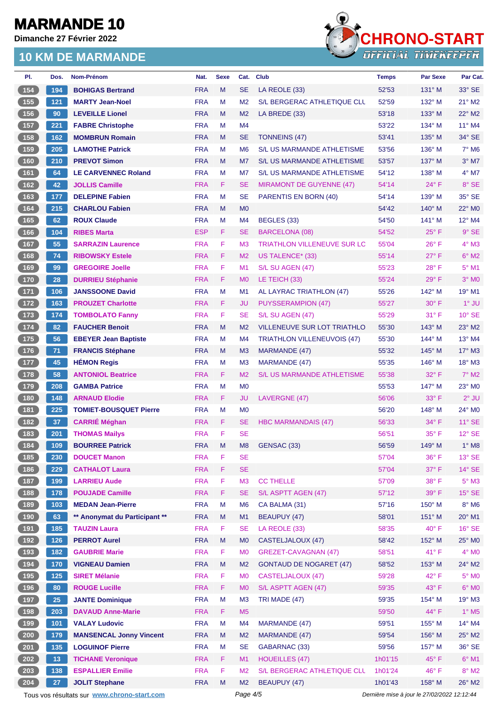**Dimanche 27 Février 2022**

### **10 KM DE MARMANDE**



| PI.                | Dos.            | Nom-Prénom                     | Nat.       | <b>Sexe</b> | Cat.           | <b>Club</b>                        | <b>Temps</b> | <b>Par Sexe</b> | Par Cat.                 |
|--------------------|-----------------|--------------------------------|------------|-------------|----------------|------------------------------------|--------------|-----------------|--------------------------|
| 154                | 194             | <b>BOHIGAS Bertrand</b>        | <b>FRA</b> | M           | <b>SE</b>      | LA REOLE (33)                      | 52'53        | $131^\circ$ M   | $33^\circ$ SE            |
| 155                | 121             | <b>MARTY Jean-Noel</b>         | <b>FRA</b> | M           | M <sub>2</sub> | S/L BERGERAC ATHLETIQUE CLL        | 52'59        | $132^\circ$ M   | $21^\circ$ M2            |
| 156                | 90              | <b>LEVEILLE Lionel</b>         | <b>FRA</b> | M           | M <sub>2</sub> | LA BREDE (33)                      | 53'18        | $133^\circ$ M   | 22° M2                   |
| 157                | 221             | <b>FABRE Christophe</b>        | <b>FRA</b> | M           | M4             |                                    | 53'22        | $134^\circ$ M   | 11° M4                   |
| 158                | 162             | <b>MOMBRUN Romain</b>          | <b>FRA</b> | M           | <b>SE</b>      | <b>TONNEINS (47)</b>               | 53'41        | $135^\circ$ M   | 34° SE                   |
| 159                | 205             | <b>LAMOTHE Patrick</b>         | <b>FRA</b> | M           | M <sub>6</sub> | <b>S/L US MARMANDE ATHLETISME</b>  | 53'56        | 136° M          | $7^\circ$ M <sub>6</sub> |
| 160                | 210             | <b>PREVOT Simon</b>            | <b>FRA</b> | M           | M7             | <b>S/L US MARMANDE ATHLETISME</b>  | 53'57        | $137^\circ$ M   | $3°$ M7                  |
| 161                | 64              | <b>LE CARVENNEC Roland</b>     | <b>FRA</b> | M           | M7             | S/L US MARMANDE ATHLETISME         | 54'12        | 138° M          | $4^{\circ}$ M7           |
| $\boxed{162}$      | 42              | <b>JOLLIS Camille</b>          | <b>FRA</b> | F.          | <b>SE</b>      | <b>MIRAMONT DE GUYENNE (47)</b>    | 54'14        | $24^{\circ}$ F  | 8° SE                    |
| 163                | 177             | <b>DELEPINE Fabien</b>         | <b>FRA</b> | M           | <b>SE</b>      | PARENTIS EN BORN (40)              | 54'14        | 139° M          | 35° SE                   |
| 164                | 215             | <b>CHARLOU Fabien</b>          | <b>FRA</b> | M           | M <sub>0</sub> |                                    | 54'42        | $140^\circ$ M   | 22° M0                   |
| 165                | 62              | <b>ROUX Claude</b>             | <b>FRA</b> | М           | M4             | BEGLES (33)                        | 54'50        | $141^\circ$ M   | 12° M4                   |
| 166                | $104$           | <b>RIBES Marta</b>             | <b>ESP</b> | F.          | SE             | <b>BARCELONA (08)</b>              | 54'52        | $25^{\circ}$ F  | 9° SE                    |
| 167                | 55              | <b>SARRAZIN Laurence</b>       | <b>FRA</b> | F           | M <sub>3</sub> | <b>TRIATHLON VILLENEUVE SUR LC</b> | 55'04        | $26^{\circ}$ F  | $4^\circ$ M3             |
| 168                | 74              | <b>RIBOWSKY Estele</b>         | <b>FRA</b> | F.          | M <sub>2</sub> | US TALENCE* (33)                   | 55'14        | $27^\circ$ F    | $6^\circ$ M2             |
| 169                | 99              | <b>GREGOIRE Joelle</b>         | <b>FRA</b> | F           | M1             | S/L SU AGEN (47)                   | 55'23        | 28°F            | $5^\circ$ M1             |
| 170                | 28              | <b>DURRIEU Stéphanie</b>       | <b>FRA</b> | F.          | M <sub>0</sub> | LE TEICH (33)                      | 55'24        | $29°$ F         | $3°$ MO                  |
| 171                | 106             | <b>JANSSOONE David</b>         | <b>FRA</b> | м           | M <sub>1</sub> | AL LAYRAC TRIATHLON (47)           | 55'26        | $142^\circ$ M   | 19° M1                   |
| $172$              | 163             | <b>PROUZET Charlotte</b>       | <b>FRA</b> | F.          | <b>JU</b>      | <b>PUYSSERAMPION (47)</b>          | 55'27        | 30° F           | $1^\circ$ JU             |
| 173                | 174             | <b>TOMBOLATO Fanny</b>         | <b>FRA</b> | F.          | <b>SE</b>      | S/L SU AGEN (47)                   | 55'29        | 31° F           | $10^{\circ}$ SE          |
| 174                | 82              | <b>FAUCHER Benoit</b>          | <b>FRA</b> | M           | M <sub>2</sub> | <b>VILLENEUVE SUR LOT TRIATHLO</b> | 55'30        | $143^\circ$ M   | $23^\circ$ M2            |
| $\left[175\right]$ | 56              | <b>EBEYER Jean Baptiste</b>    | <b>FRA</b> | М           | M4             | <b>TRIATHLON VILLENEUVOIS (47)</b> | 55'30        | $144^\circ$ M   | 13° M4                   |
| 176                | 71              | <b>FRANCIS Stéphane</b>        | <b>FRA</b> | M           | M <sub>3</sub> | MARMANDE (47)                      | 55'32        | $145^\circ$ M   | $17^\circ$ M3            |
| 177                | 45              | <b>HÉMON Regis</b>             | <b>FRA</b> | М           | M <sub>3</sub> | <b>MARMANDE (47)</b>               | 55'35        | 146° M          | 18° M3                   |
| $178$              | 58              | <b>ANTONIOL Beatrice</b>       | <b>FRA</b> | F.          | M <sub>2</sub> | <b>S/L US MARMANDE ATHLETISME</b>  | 55'38        | $32^{\circ}$ F  | $7^\circ$ M2             |
| 179                | 208             | <b>GAMBA Patrice</b>           | <b>FRA</b> | M           | M <sub>0</sub> |                                    | 55'53        | 147° M          | 23° MO                   |
| 180                | 148             | <b>ARNAUD Elodie</b>           | <b>FRA</b> | F.          | JU             | LAVERGNE (47)                      | 56'06        | $33^\circ$ F    | $2°$ JU                  |
| 181                | 225             | <b>TOMIET-BOUSQUET Pierre</b>  | <b>FRA</b> | M           | M <sub>0</sub> |                                    | 56'20        | 148° M          | 24° MO                   |
| 182                | 37              | <b>CARRIÉ Méghan</b>           | <b>FRA</b> | F.          | <b>SE</b>      | <b>HBC MARMANDAIS (47)</b>         | 56'33        | $34^\circ$ F    | $11^\circ$ SE            |
| 183                | 201             | <b>THOMAS Mailys</b>           | <b>FRA</b> | F           | <b>SE</b>      |                                    | 56'51        | $35^{\circ}$ F  | $12^{\circ}$ SE          |
| $\boxed{184}$      | 109             | <b>BOURREE Patrick</b>         | <b>FRA</b> | ${\sf M}$   |                | M8 GENSAC (33)                     | 56'59        | 149° M          | $1^\circ$ M8             |
| 185                | 230             | <b>DOUCET Manon</b>            | <b>FRA</b> | F           | <b>SE</b>      |                                    | 57'04        | $36^{\circ}$ F  | $13^\circ$ SE            |
| 186                | 229             | <b>CATHALOT Laura</b>          | <b>FRA</b> | F           | <b>SE</b>      |                                    | 57'04        | 37° F           | $14^\circ$ SE            |
| 187                | 199             | <b>LARRIEU Aude</b>            | <b>FRA</b> | F           | M3             | <b>CC THELLE</b>                   | 57'09        | 38° F           | $5^\circ$ M3             |
| 188                | 178             | <b>POUJADE Camille</b>         | <b>FRA</b> | F           | <b>SE</b>      | S/L ASPTT AGEN (47)                | 57'12        | 39° F           | $15^\circ$ SE            |
| 189                | 103             | <b>MEDAN Jean-Pierre</b>       | <b>FRA</b> | М           | M <sub>6</sub> | CA BALMA (31)                      | 57'16        | 150° M          | $8^\circ$ M6             |
| 190                | 63              | ** Anonymat du Participant **  | <b>FRA</b> | M           | M1             | <b>BEAUPUY (47)</b>                | 58'01        | 151° M          | 20° M1                   |
| 191                | 185             | <b>TAUZIN Laura</b>            | <b>FRA</b> | F           | <b>SE</b>      | LA REOLE (33)                      | 58'35        | $40^{\circ}$ F  | $16^\circ$ SE            |
| 192                | 126             | <b>PERROT Aurel</b>            | <b>FRA</b> | M           | M <sub>0</sub> | CASTELJALOUX (47)                  | 58'42        | 152° M          | 25° MO                   |
| 193                | 182             | <b>GAUBRIE Marie</b>           | <b>FRA</b> | F           | M <sub>0</sub> | <b>GREZET-CAVAGNAN (47)</b>        | 58'51        | $41^{\circ}$ F  | $4^\circ$ MO             |
| (194)              | 170             | <b>VIGNEAU Damien</b>          | <b>FRA</b> | M           | M <sub>2</sub> | <b>GONTAUD DE NOGARET (47)</b>     | 58'52        | 153° M          | 24° M2                   |
| 195                | 125             | <b>SIRET Mélanie</b>           | <b>FRA</b> | F           | M <sub>0</sub> | <b>CASTELJALOUX (47)</b>           | 59'28        | $42^{\circ}$ F  | $5^\circ$ MO             |
| 196                | 80              | <b>ROUGE Lucille</b>           | <b>FRA</b> | F.          | M <sub>0</sub> | S/L ASPTT AGEN (47)                | 59'35        | 43° F           | $6^\circ$ MO             |
| 197                | 25              | <b>JANTE Dominique</b>         | <b>FRA</b> | M           | M <sub>3</sub> | TRI MADE (47)                      | 59'35        | 154° M          | 19° M3                   |
| 198                | 203             | <b>DAVAUD Anne-Marie</b>       | <b>FRA</b> | F.          | M <sub>5</sub> |                                    | 59'50        | 44° F           | $1^\circ$ M5             |
| 199                | 101             | <b>VALAY Ludovic</b>           | <b>FRA</b> | M           | M4             | <b>MARMANDE (47)</b>               | 59'51        | 155° M          | 14° M4                   |
| 200                | 179             | <b>MANSENCAL Jonny Vincent</b> | <b>FRA</b> | M           | M <sub>2</sub> | MARMANDE (47)                      | 59'54        | 156° M          | $25^\circ$ M2            |
| 201                | 135             | <b>LOGUINOF Pierre</b>         | <b>FRA</b> | M           | <b>SE</b>      | GABARNAC (33)                      | 59'56        | 157° M          | 36° SE                   |
| 202                | 13 <sup>°</sup> | <b>TICHANE Veronique</b>       | <b>FRA</b> | F.          | M1             | <b>HOUEILLES (47)</b>              | 1h01'15      | 45° F           | $6^{\circ}$ M1           |
| 203                | 138             | <b>ESPALLIER Emilie</b>        | <b>FRA</b> | F           | M <sub>2</sub> | S/L BERGERAC ATHLETIQUE CLU        | 1h01'24      | 46°F            | $8^\circ$ M2             |
| 204                | 27              | <b>JOLIT Stephane</b>          | <b>FRA</b> | M           | M <sub>2</sub> | <b>BEAUPUY (47)</b>                | 1h01'43      | 158° M          | 26° M2                   |
|                    |                 |                                |            |             |                |                                    |              |                 |                          |

Tous vos résultats sur **[www.chrono-start.com](https://www.chrono-start.com/)** Page 4/5 Page 4/5 Dernière mise à jour le 27/02/2022 12:12:44